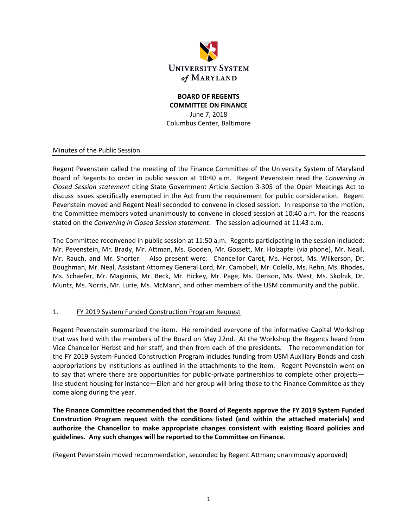

# **BOARD OF REGENTS COMMITTEE ON FINANCE** June 7, 2018

Columbus Center, Baltimore

### Minutes of the Public Session

Regent Pevenstein called the meeting of the Finance Committee of the University System of Maryland Board of Regents to order in public session at 10:40 a.m. Regent Pevenstein read the *Convening in Closed Session statement* citing State Government Article Section 3‐305 of the Open Meetings Act to discuss issues specifically exempted in the Act from the requirement for public consideration. Regent Pevenstein moved and Regent Neall seconded to convene in closed session. In response to the motion, the Committee members voted unanimously to convene in closed session at 10:40 a.m. for the reasons stated on the *Convening in Closed Session statement*. The session adjourned at 11:43 a.m.

The Committee reconvened in public session at 11:50 a.m. Regents participating in the session included: Mr. Pevenstein, Mr. Brady, Mr. Attman, Ms. Gooden, Mr. Gossett, Mr. Holzapfel (via phone), Mr. Neall, Mr. Rauch, and Mr. Shorter. Also present were: Chancellor Caret, Ms. Herbst, Ms. Wilkerson, Dr. Boughman, Mr. Neal, Assistant Attorney General Lord, Mr. Campbell, Mr. Colella, Ms. Rehn, Ms. Rhodes, Ms. Schaefer, Mr. Maginnis, Mr. Beck, Mr. Hickey, Mr. Page, Ms. Denson, Ms. West, Ms. Skolnik, Dr. Muntz, Ms. Norris, Mr. Lurie, Ms. McMann, and other members of the USM community and the public.

## 1. FY 2019 System Funded Construction Program Request

Regent Pevenstein summarized the item. He reminded everyone of the informative Capital Workshop that was held with the members of the Board on May 22nd. At the Workshop the Regents heard from Vice Chancellor Herbst and her staff, and then from each of the presidents. The recommendation for the FY 2019 System‐Funded Construction Program includes funding from USM Auxiliary Bonds and cash appropriations by institutions as outlined in the attachments to the item. Regent Pevenstein went on to say that where there are opportunities for public-private partnerships to complete other projects like student housing for instance—Ellen and her group will bring those to the Finance Committee as they come along during the year.

**The Finance Committee recommended that the Board of Regents approve the FY 2019 System Funded Construction Program request with the conditions listed (and within the attached materials) and authorize the Chancellor to make appropriate changes consistent with existing Board policies and guidelines. Any such changes will be reported to the Committee on Finance.**

(Regent Pevenstein moved recommendation, seconded by Regent Attman; unanimously approved)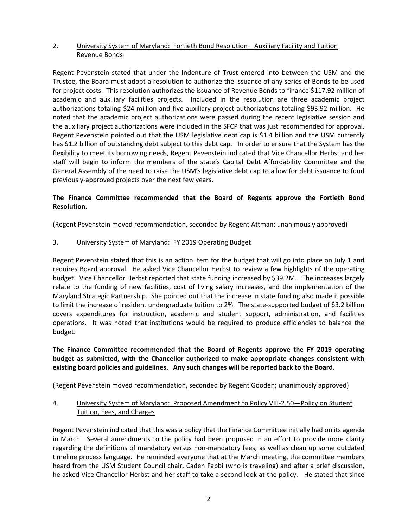### 2. University System of Maryland: Fortieth Bond Resolution—Auxiliary Facility and Tuition Revenue Bonds

Regent Pevenstein stated that under the Indenture of Trust entered into between the USM and the Trustee, the Board must adopt a resolution to authorize the issuance of any series of Bonds to be used for project costs. This resolution authorizes the issuance of Revenue Bonds to finance \$117.92 million of academic and auxiliary facilities projects. Included in the resolution are three academic project authorizations totaling \$24 million and five auxiliary project authorizations totaling \$93.92 million. He noted that the academic project authorizations were passed during the recent legislative session and the auxiliary project authorizations were included in the SFCP that was just recommended for approval. Regent Pevenstein pointed out that the USM legislative debt cap is \$1.4 billion and the USM currently has \$1.2 billion of outstanding debt subject to this debt cap. In order to ensure that the System has the flexibility to meet its borrowing needs, Regent Pevenstein indicated that Vice Chancellor Herbst and her staff will begin to inform the members of the state's Capital Debt Affordability Committee and the General Assembly of the need to raise the USM's legislative debt cap to allow for debt issuance to fund previously‐approved projects over the next few years.

## **The Finance Committee recommended that the Board of Regents approve the Fortieth Bond Resolution.**

(Regent Pevenstein moved recommendation, seconded by Regent Attman; unanimously approved)

#### 3. University System of Maryland: FY 2019 Operating Budget

Regent Pevenstein stated that this is an action item for the budget that will go into place on July 1 and requires Board approval. He asked Vice Chancellor Herbst to review a few highlights of the operating budget. Vice Chancellor Herbst reported that state funding increased by \$39.2M. The increases largely relate to the funding of new facilities, cost of living salary increases, and the implementation of the Maryland Strategic Partnership. She pointed out that the increase in state funding also made it possible to limit the increase of resident undergraduate tuition to 2%. The state‐supported budget of \$3.2 billion covers expenditures for instruction, academic and student support, administration, and facilities operations. It was noted that institutions would be required to produce efficiencies to balance the budget.

## **The Finance Committee recommended that the Board of Regents approve the FY 2019 operating budget as submitted, with the Chancellor authorized to make appropriate changes consistent with existing board policies and guidelines. Any such changes will be reported back to the Board.**

(Regent Pevenstein moved recommendation, seconded by Regent Gooden; unanimously approved)

### 4. University System of Maryland: Proposed Amendment to Policy VIII-2.50—Policy on Student Tuition, Fees, and Charges

Regent Pevenstein indicated that this was a policy that the Finance Committee initially had on its agenda in March. Several amendments to the policy had been proposed in an effort to provide more clarity regarding the definitions of mandatory versus non-mandatory fees, as well as clean up some outdated timeline process language. He reminded everyone that at the March meeting, the committee members heard from the USM Student Council chair, Caden Fabbi (who is traveling) and after a brief discussion, he asked Vice Chancellor Herbst and her staff to take a second look at the policy. He stated that since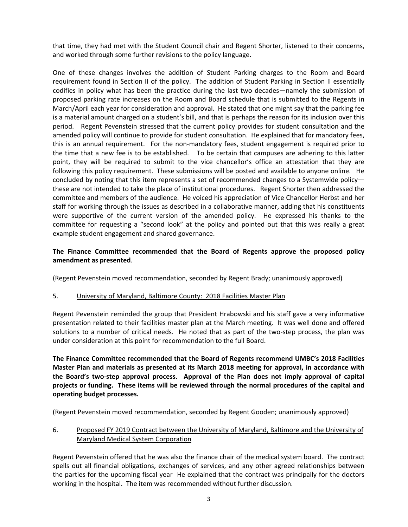that time, they had met with the Student Council chair and Regent Shorter, listened to their concerns, and worked through some further revisions to the policy language.

One of these changes involves the addition of Student Parking charges to the Room and Board requirement found in Section II of the policy. The addition of Student Parking in Section II essentially codifies in policy what has been the practice during the last two decades—namely the submission of proposed parking rate increases on the Room and Board schedule that is submitted to the Regents in March/April each year for consideration and approval. He stated that one might say that the parking fee is a material amount charged on a student's bill, and that is perhaps the reason for its inclusion over this period. Regent Pevenstein stressed that the current policy provides for student consultation and the amended policy will continue to provide for student consultation. He explained that for mandatory fees, this is an annual requirement. For the non‐mandatory fees, student engagement is required prior to the time that a new fee is to be established. To be certain that campuses are adhering to this latter point, they will be required to submit to the vice chancellor's office an attestation that they are following this policy requirement. These submissions will be posted and available to anyone online. He concluded by noting that this item represents a set of recommended changes to a Systemwide policy these are not intended to take the place of institutional procedures. Regent Shorter then addressed the committee and members of the audience. He voiced his appreciation of Vice Chancellor Herbst and her staff for working through the issues as described in a collaborative manner, adding that his constituents were supportive of the current version of the amended policy. He expressed his thanks to the committee for requesting a "second look" at the policy and pointed out that this was really a great example student engagement and shared governance.

## **The Finance Committee recommended that the Board of Regents approve the proposed policy amendment as presented**.

(Regent Pevenstein moved recommendation, seconded by Regent Brady; unanimously approved)

## 5. University of Maryland, Baltimore County: 2018 Facilities Master Plan

Regent Pevenstein reminded the group that President Hrabowski and his staff gave a very informative presentation related to their facilities master plan at the March meeting. It was well done and offered solutions to a number of critical needs. He noted that as part of the two-step process, the plan was under consideration at this point for recommendation to the full Board.

**The Finance Committee recommended that the Board of Regents recommend UMBC's 2018 Facilities Master Plan and materials as presented at its March 2018 meeting for approval, in accordance with the Board's two‐step approval process. Approval of the Plan does not imply approval of capital projects or funding. These items will be reviewed through the normal procedures of the capital and operating budget processes.**

(Regent Pevenstein moved recommendation, seconded by Regent Gooden; unanimously approved)

## 6. Proposed FY 2019 Contract between the University of Maryland, Baltimore and the University of Maryland Medical System Corporation

Regent Pevenstein offered that he was also the finance chair of the medical system board. The contract spells out all financial obligations, exchanges of services, and any other agreed relationships between the parties for the upcoming fiscal year He explained that the contract was principally for the doctors working in the hospital. The item was recommended without further discussion.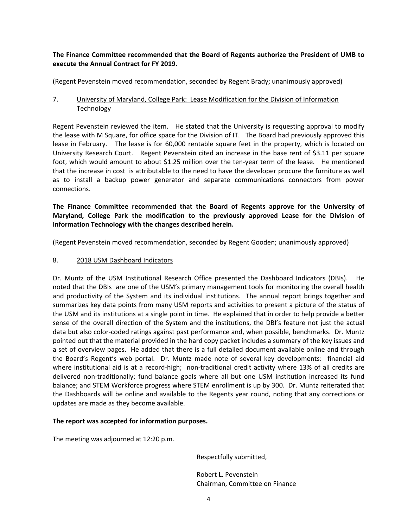### **The Finance Committee recommended that the Board of Regents authorize the President of UMB to execute the Annual Contract for FY 2019.**

(Regent Pevenstein moved recommendation, seconded by Regent Brady; unanimously approved)

### 7. University of Maryland, College Park: Lease Modification for the Division of Information Technology

Regent Pevenstein reviewed the item. He stated that the University is requesting approval to modify the lease with M Square, for office space for the Division of IT. The Board had previously approved this lease in February. The lease is for 60,000 rentable square feet in the property, which is located on University Research Court. Regent Pevenstein cited an increase in the base rent of \$3.11 per square foot, which would amount to about \$1.25 million over the ten-year term of the lease. He mentioned that the increase in cost is attributable to the need to have the developer procure the furniture as well as to install a backup power generator and separate communications connectors from power connections.

**The Finance Committee recommended that the Board of Regents approve for the University of Maryland, College Park the modification to the previously approved Lease for the Division of Information Technology with the changes described herein.** 

(Regent Pevenstein moved recommendation, seconded by Regent Gooden; unanimously approved)

#### 8. 2018 USM Dashboard Indicators

Dr. Muntz of the USM Institutional Research Office presented the Dashboard Indicators (DBIs). He noted that the DBIs are one of the USM's primary management tools for monitoring the overall health and productivity of the System and its individual institutions. The annual report brings together and summarizes key data points from many USM reports and activities to present a picture of the status of the USM and its institutions at a single point in time. He explained that in order to help provide a better sense of the overall direction of the System and the institutions, the DBI's feature not just the actual data but also color‐coded ratings against past performance and, when possible, benchmarks. Dr. Muntz pointed out that the material provided in the hard copy packet includes a summary of the key issues and a set of overview pages. He added that there is a full detailed document available online and through the Board's Regent's web portal. Dr. Muntz made note of several key developments: financial aid where institutional aid is at a record-high; non-traditional credit activity where 13% of all credits are delivered non-traditionally; fund balance goals where all but one USM institution increased its fund balance; and STEM Workforce progress where STEM enrollment is up by 300. Dr. Muntz reiterated that the Dashboards will be online and available to the Regents year round, noting that any corrections or updates are made as they become available.

#### **The report was accepted for information purposes.**

The meeting was adjourned at 12:20 p.m.

Respectfully submitted,

 Robert L. Pevenstein Chairman, Committee on Finance